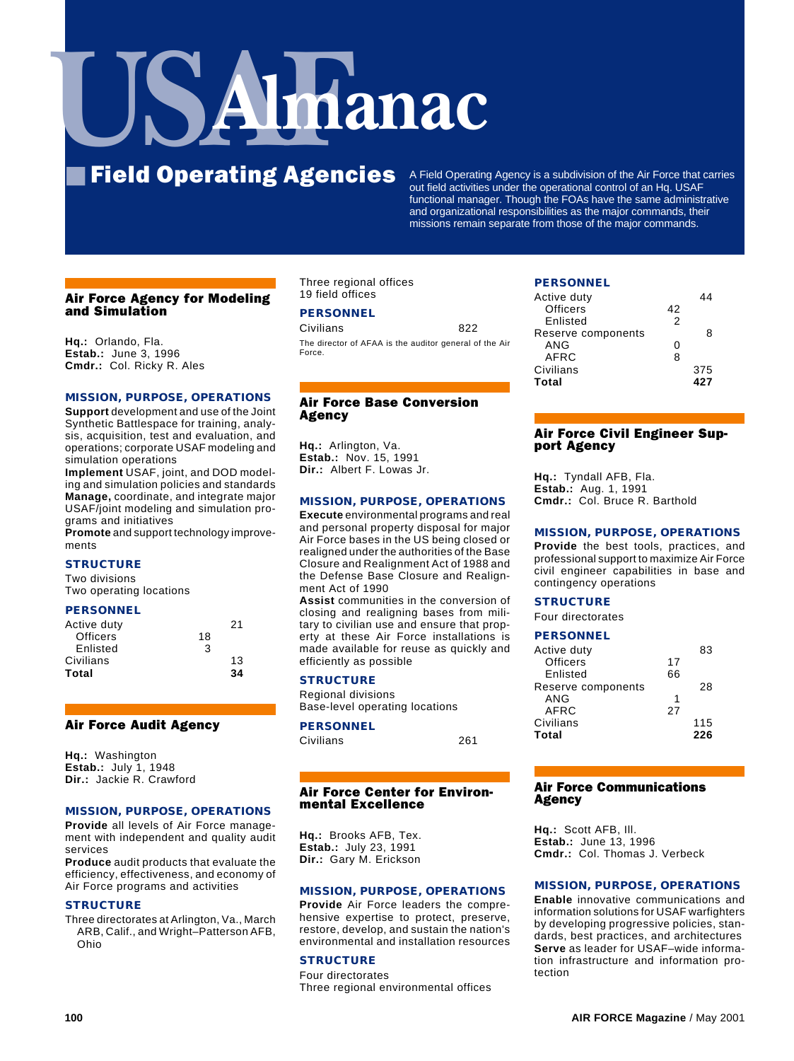# **Imanac**

# **Field Operating Agencies** A Field Operating Agency is a subdivision of the Air Force that carries

out field activities under the operational control of an Hq. USAF functional manager. Though the FOAs have the same administrative and organizational responsibilities as the major commands, their missions remain separate from those of the major commands.

# Air Force Agency for Modeling and Simulation

**Hq.:** Orlando, Fla. **Estab.:** June 3, 1996 **Cmdr.:** Col. Ricky R. Ales

# **MISSION, PURPOSE, OPERATIONS**

**Support** development and use of the Joint Synthetic Battlespace for training, analysis, acquisition, test and evaluation, and operations; corporate USAF modeling and simulation operations

**Implement** USAF, joint, and DOD modeling and simulation policies and standards **Manage,** coordinate, and integrate major USAF/joint modeling and simulation programs and initiatives

**Promote** and support technology improvements

# **STRUCTURE**

Two divisions Two operating locations

#### **PERSONNEL**

|    | 21 |
|----|----|
| 18 |    |
| 3  |    |
|    | 13 |
|    | 34 |
|    |    |

#### Air Force Audit Agency

**Hq.:** Washington **Estab.:** July 1, 1948 **Dir.:** Jackie R. Crawford

#### **MISSION, PURPOSE, OPERATIONS**

**Provide** all levels of Air Force management with independent and quality audit services

**Produce** audit products that evaluate the efficiency, effectiveness, and economy of Air Force programs and activities

#### **STRUCTURE**

Three directorates at Arlington, Va., March ARB, Calif., and Wright–Patterson AFB, Ohio

Three regional offices 19 field offices

# **PERSONNEL**

Civilians 822 The director of AFAA is the auditor general of the Air Force.

# Air Force Base Conversion Agency

**Hq.:** Arlington, Va. **Estab.:** Nov. 15, 1991 **Dir.:** Albert F. Lowas Jr.

#### **MISSION, PURPOSE, OPERATIONS**

**Execute** environmental programs and real and personal property disposal for major Air Force bases in the US being closed or realigned under the authorities of the Base Closure and Realignment Act of 1988 and the Defense Base Closure and Realignment Act of 1990

**Assist** communities in the conversion of closing and realigning bases from military to civilian use and ensure that property at these Air Force installations is made available for reuse as quickly and efficiently as possible

#### **STRUCTURE**

Regional divisions Base-level operating locations

# **PERSONNEL**

| Civilians | 261 |
|-----------|-----|
|           |     |

#### Air Force Center for Environmental Excellence

**Hq.:** Brooks AFB, Tex. **Estab.:** July 23, 1991 **Dir.:** Gary M. Erickson

#### **MISSION, PURPOSE, OPERATIONS**

**Provide** Air Force leaders the comprehensive expertise to protect, preserve, restore, develop, and sustain the nation's environmental and installation resources

### **STRUCTURE**

Four directorates Three regional environmental offices

#### **PERSONNEL**

| Active duty        |    |     |
|--------------------|----|-----|
| Officers           | 42 |     |
| Enlisted           | 2  |     |
| Reserve components |    | я   |
| ANG                | ი  |     |
| AFRC               | 8  |     |
| Civilians          |    | 375 |
| Total              |    | 427 |

# Air Force Civil Engineer Support Agency

**Hq.:** Tyndall AFB, Fla. **Estab.:** Aug. 1, 1991 **Cmdr.:** Col. Bruce R. Barthold

#### **MISSION, PURPOSE, OPERATIONS**

**Provide** the best tools, practices, and professional support to maximize Air Force civil engineer capabilities in base and contingency operations

#### **STRUCTURE**

Four directorates

# **PERSONNEL**

| Active duty        |    | 83  |
|--------------------|----|-----|
| <b>Officers</b>    | 17 |     |
| Enlisted           | 66 |     |
| Reserve components |    | 28  |
| ANG                | 1  |     |
| AFRC               | 27 |     |
| Civilians          |    | 115 |
| Total              |    | 226 |
|                    |    |     |

#### Air Force Communications **Agency**

**Hq.:** Scott AFB, Ill. **Estab.:** June 13, 1996 **Cmdr.:** Col. Thomas J. Verbeck

# **MISSION, PURPOSE, OPERATIONS**

**Enable** innovative communications and information solutions for USAF warfighters by developing progressive policies, standards, best practices, and architectures **Serve** as leader for USAF–wide information infrastructure and information protection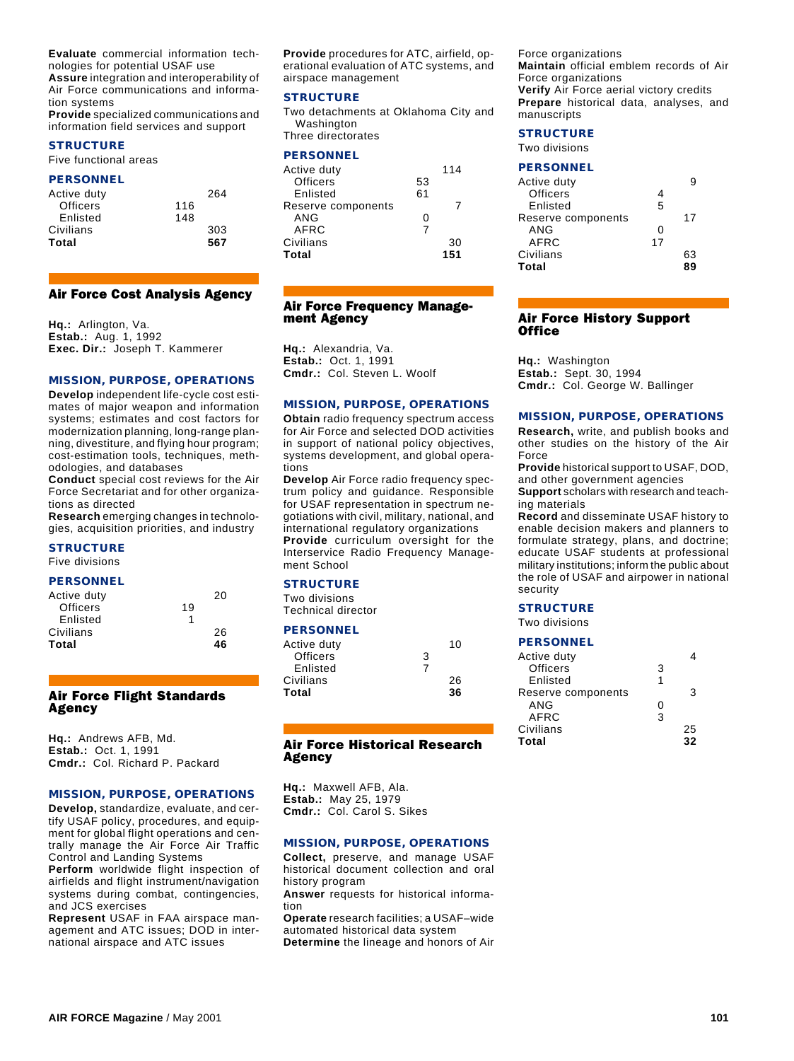**Evaluate** commercial information technologies for potential USAF use

**Assure** integration and interoperability of Air Force communications and information systems

**Provide** specialized communications and information field services and support

# **STRUCTURE**

Five functional areas

#### **PERSONNEL**

| Active duty |     | 264 |
|-------------|-----|-----|
| Officers    | 116 |     |
| Enlisted    | 148 |     |
| Civilians   |     | 303 |
| Total       |     | 567 |

#### Air Force Cost Analysis Agency

**Hq.:** Arlington, Va. **Estab.:** Aug. 1, 1992 **Exec. Dir.:** Joseph T. Kammerer

#### **MISSION, PURPOSE, OPERATIONS**

**Develop** independent life-cycle cost estimates of major weapon and information systems; estimates and cost factors for modernization planning, long-range planning, divestiture, and flying hour program; cost-estimation tools, techniques, methodologies, and databases

**Conduct** special cost reviews for the Air Force Secretariat and for other organizations as directed

**Research** emerging changes in technologies, acquisition priorities, and industry

#### **STRUCTURE**

Five divisions

#### **PERSONNEL**

|    | 20 |  |
|----|----|--|
| 19 |    |  |
|    |    |  |
|    | 26 |  |
|    | 46 |  |
|    |    |  |

#### Air Force Flight Standards Agency

**Hq.:** Andrews AFB, Md. **Estab.:** Oct. 1, 1991 **Cmdr.:** Col. Richard P. Packard

#### **MISSION, PURPOSE, OPERATIONS**

**Develop,** standardize, evaluate, and certify USAF policy, procedures, and equipment for global flight operations and centrally manage the Air Force Air Traffic Control and Landing Systems

**Perform** worldwide flight inspection of airfields and flight instrument/navigation systems during combat, contingencies, and JCS exercises

**Represent** USAF in FAA airspace management and ATC issues; DOD in international airspace and ATC issues

**Provide** procedures for ATC, airfield, operational evaluation of ATC systems, and airspace management

#### **STRUCTURE**

Two detachments at Oklahoma City and Washington Three directorates

#### **PERSONNEL**

| Active duty        |    | 114 |  |
|--------------------|----|-----|--|
| <b>Officers</b>    | 53 |     |  |
| Enlisted           | 61 |     |  |
| Reserve components |    |     |  |
| ANG                | ი  |     |  |
| <b>AFRC</b>        | 7  |     |  |
| Civilians          |    | 30  |  |
| Total              |    | 151 |  |
|                    |    |     |  |

#### Air Force Frequency Management Agency

**Hq.:** Alexandria, Va. **Estab.:** Oct. 1, 1991 **Cmdr.:** Col. Steven L. Woolf

#### **MISSION, PURPOSE, OPERATIONS**

**Obtain** radio frequency spectrum access for Air Force and selected DOD activities in support of national policy objectives, systems development, and global operations

**Develop** Air Force radio frequency spectrum policy and guidance. Responsible for USAF representation in spectrum negotiations with civil, military, national, and international regulatory organizations **Provide** curriculum oversight for the Interservice Radio Frequency Management School

### **STRUCTURE**

Two divisions Technical director

#### **PERSONNEL**

| Active duty |   | 10 |  |
|-------------|---|----|--|
| Officers    | 3 |    |  |
| Enlisted    | 7 |    |  |
| Civilians   |   | 26 |  |
| Total       |   | 36 |  |
|             |   |    |  |

### Air Force Historical Research Agency

**Hq.:** Maxwell AFB, Ala. **Estab.:** May 25, 1979 **Cmdr.:** Col. Carol S. Sikes

#### **MISSION, PURPOSE, OPERATIONS**

**Collect,** preserve, and manage USAF historical document collection and oral history program

**Answer** requests for historical information

**Operate** research facilities; a USAF–wide automated historical data system

**Determine** the lineage and honors of Air

Force organizations **Maintain** official emblem records of Air Force organizations **Verify** Air Force aerial victory credits **Prepare** historical data, analyses, and manuscripts

# **STRUCTURE**

Two divisions

# **PERSONNEL**

| Active duty        |    |    |
|--------------------|----|----|
| Officers           | 4  |    |
| Enlisted           | 5  |    |
| Reserve components |    | 17 |
| ANG                | ი  |    |
| AFRC               | 17 |    |
| Civilians          |    | 63 |
| Total              |    | 89 |
|                    |    |    |

#### Air Force History Support **Office**

**Hq.:** Washington **Estab.:** Sept. 30, 1994 **Cmdr.:** Col. George W. Ballinger

#### **MISSION, PURPOSE, OPERATIONS**

**Research,** write, and publish books and other studies on the history of the Air Force

**Provide** historical support to USAF, DOD, and other government agencies

**Support** scholars with research and teaching materials

**Record** and disseminate USAF history to enable decision makers and planners to formulate strategy, plans, and doctrine; educate USAF students at professional military institutions; inform the public about the role of USAF and airpower in national security

#### **STRUCTURE**

Two divisions

#### **PERSONNEL**

| 3 |    |
|---|----|
| 1 |    |
|   | з  |
| ი |    |
| 3 |    |
|   | 25 |
|   | 32 |
|   |    |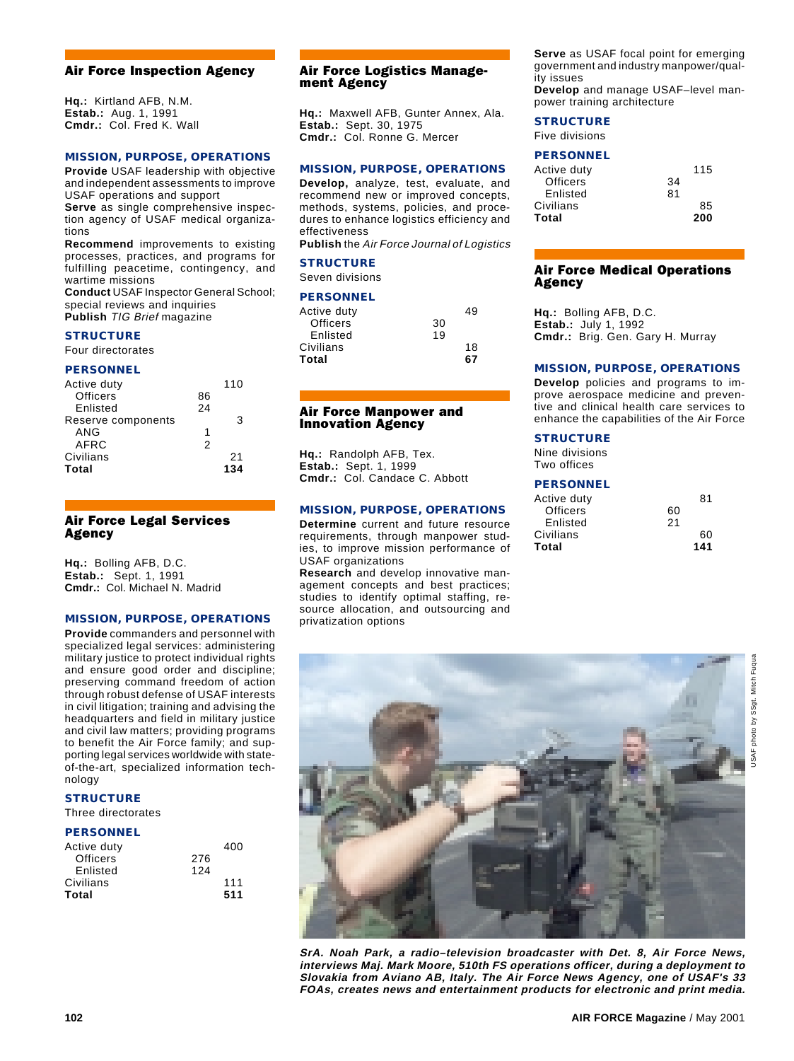# Air Force Inspection Agency

**Hq.:** Kirtland AFB, N.M. **Estab.:** Aug. 1, 1991 **Cmdr.:** Col. Fred K. Wall

# **MISSION, PURPOSE, OPERATIONS**

**Provide** USAF leadership with objective and independent assessments to improve USAF operations and support

**Serve** as single comprehensive inspection agency of USAF medical organizations

**Recommend** improvements to existing processes, practices, and programs for fulfilling peacetime, contingency, and wartime missions

**Conduct** USAF Inspector General School; special reviews and inquiries **Publish** TIG Brief magazine

**STRUCTURE**

# Four directorates

#### **PERSONNEL**

| Active duty        |    | 110 |
|--------------------|----|-----|
| Officers           | 86 |     |
| Enlisted           | 24 |     |
| Reserve components |    | з   |
| ANG                | 1  |     |
| AFRC               | 2  |     |
| Civilians          |    | 21  |
| Total              |    | 134 |
|                    |    |     |

#### Air Force Legal Services Agency

**Hq.:** Bolling AFB, D.C. **Estab.:** Sept. 1, 1991 **Cmdr.:** Col. Michael N. Madrid

# **MISSION, PURPOSE, OPERATIONS**

**Provide** commanders and personnel with specialized legal services: administering military justice to protect individual rights and ensure good order and discipline; preserving command freedom of action through robust defense of USAF interests in civil litigation; training and advising the headquarters and field in military justice and civil law matters; providing programs to benefit the Air Force family; and supporting legal services worldwide with stateof-the-art, specialized information technology

# **STRUCTURE**

Three directorates

#### **PERSONNEL**

| Active duty |     | 400 |  |
|-------------|-----|-----|--|
| Officers    | 276 |     |  |
| Enlisted    | 124 |     |  |
| Civilians   |     | 111 |  |
| Total       |     | 511 |  |
|             |     |     |  |

#### Air Force Logistics Management Agency

**Hq.:** Maxwell AFB, Gunter Annex, Ala. **Estab.:** Sept. 30, 1975 **Cmdr.:** Col. Ronne G. Mercer

#### **MISSION, PURPOSE, OPERATIONS**

**Develop,** analyze, test, evaluate, and recommend new or improved concepts, methods, systems, policies, and procedures to enhance logistics efficiency and effectiveness

**Publish** the Air Force Journal of Logistics

#### **STRUCTURE**

Seven divisions

#### **PERSONNEL**

| Active duty |    | 49 |  |
|-------------|----|----|--|
| Officers    | 30 |    |  |
| Enlisted    | 19 |    |  |
| Civilians   |    | 18 |  |
| Total       |    | 67 |  |
|             |    |    |  |

#### Air Force Manpower and Innovation Agency

**Hq.:** Randolph AFB, Tex. **Estab.:** Sept. 1, 1999 **Cmdr.:** Col. Candace C. Abbott

# **MISSION, PURPOSE, OPERATIONS**

**Determine** current and future resource requirements, through manpower studies, to improve mission performance of USAF organizations

**Research** and develop innovative management concepts and best practices; studies to identify optimal staffing, resource allocation, and outsourcing and privatization options

**Serve** as USAF focal point for emerging government and industry manpower/quality issues **Develop** and manage USAF–level manpower training architecture

#### **STRUCTURE**

Five divisions

# **PERSONNEL**

| Active duty     |    | 115 |
|-----------------|----|-----|
| <b>Officers</b> | 34 |     |
| Enlisted        | 81 |     |
| Civilians       |    | 85  |
| Total           |    | 200 |
|                 |    |     |

#### Air Force Medical Operations Agency

**Hq.:** Bolling AFB, D.C. **Estab.:** July 1, 1992 **Cmdr.:** Brig. Gen. Gary H. Murray

#### **MISSION, PURPOSE, OPERATIONS**

**Develop** policies and programs to improve aerospace medicine and preventive and clinical health care services to enhance the capabilities of the Air Force

# **STRUCTURE**

Nine divisions Two offices

#### **PERSONNEL**

| Active duty     |    | 81  |
|-----------------|----|-----|
| <b>Officers</b> | 60 |     |
| Enlisted        | 21 |     |
| Civilians       |    | 60  |
| Total           |    | 141 |



photo by SSgt. Mitch Fuqua USAF photo by SSgt. Mitch Fuqua

**JSAF** 

**102 AIR FORCE Magazine** / May 2001

**interviews Maj. Mark Moore, 510th FS operations officer, during a deployment to Slovakia from Aviano AB, Italy. The Air Force News Agency, one of USAF's 33 FOAs, creates news and entertainment products for electronic and print media.**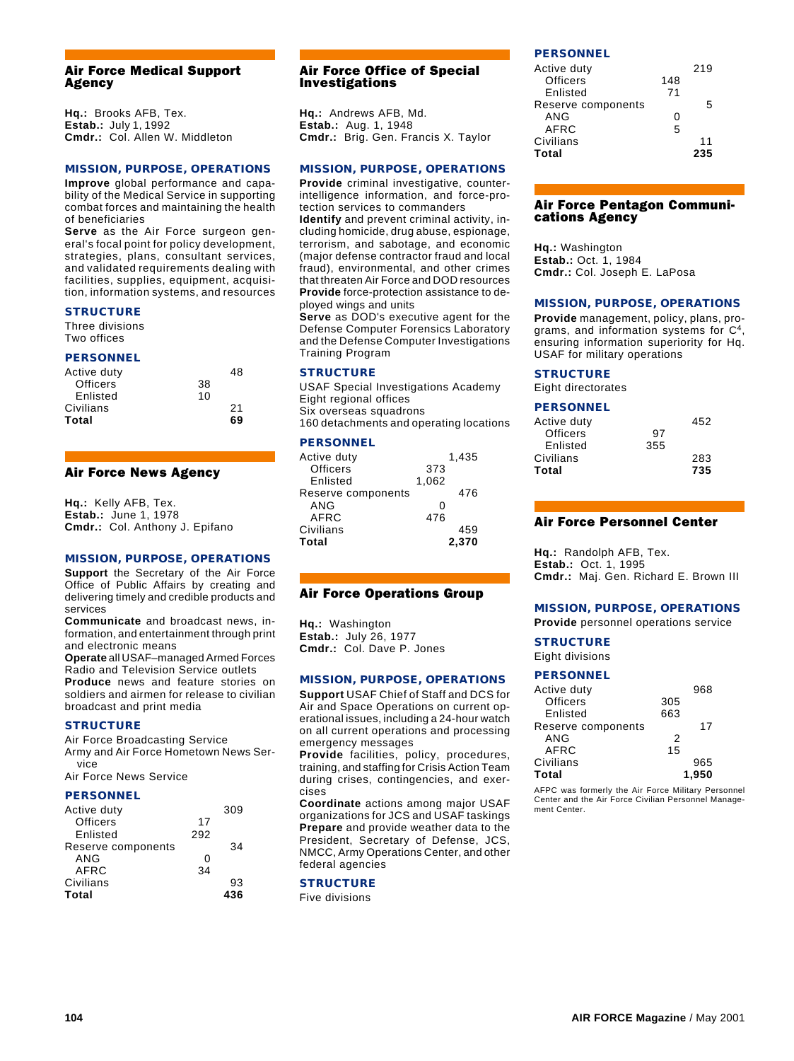#### Air Force Medical Support Agency

**Hq.:** Brooks AFB, Tex. **Estab.:** July 1, 1992 **Cmdr.:** Col. Allen W. Middleton

#### **MISSION, PURPOSE, OPERATIONS**

**Improve** global performance and capability of the Medical Service in supporting combat forces and maintaining the health of beneficiaries

**Serve** as the Air Force surgeon general's focal point for policy development, strategies, plans, consultant services, and validated requirements dealing with facilities, supplies, equipment, acquisition, information systems, and resources

#### **STRUCTURE**

Three divisions Two offices

#### **PERSONNEL**

| Active duty |    | 48 |
|-------------|----|----|
| Officers    | 38 |    |
| Enlisted    | 10 |    |
| Civilians   |    | 21 |
| Total       |    | 69 |

#### Air Force News Agency

**Hq.:** Kelly AFB, Tex. **Estab.:** June 1, 1978 **Cmdr.:** Col. Anthony J. Epifano

#### **MISSION, PURPOSE, OPERATIONS**

**Support** the Secretary of the Air Force Office of Public Affairs by creating and delivering timely and credible products and services

**Communicate** and broadcast news, information, and entertainment through print and electronic means

**Operate** all USAF–managed Armed Forces Radio and Television Service outlets **Produce** news and feature stories on soldiers and airmen for release to civilian broadcast and print media

#### **STRUCTURE**

Air Force Broadcasting Service Army and Air Force Hometown News Service

Air Force News Service

#### **PERSONNEL**

| Active duty        |     | 309 |
|--------------------|-----|-----|
| Officers           | 17  |     |
| Enlisted           | 292 |     |
| Reserve components |     | 34  |
| ANG                | ი   |     |
| AFRC               | 34  |     |
| Civilians          |     | 93  |
| Total              |     | 436 |

# Air Force Office of Special Investigations

**Hq.:** Andrews AFB, Md. **Estab.:** Aug. 1, 1948 **Cmdr.:** Brig. Gen. Francis X. Taylor

#### **MISSION, PURPOSE, OPERATIONS**

**Provide** criminal investigative, counterintelligence information, and force-protection services to commanders

**Identify** and prevent criminal activity, including homicide, drug abuse, espionage, terrorism, and sabotage, and economic (major defense contractor fraud and local fraud), environmental, and other crimes that threaten Air Force and DOD resources **Provide** force-protection assistance to deployed wings and units

**Serve** as DOD's executive agent for the Defense Computer Forensics Laboratory and the Defense Computer Investigations Training Program

# **STRUCTURE**

USAF Special Investigations Academy Eight regional offices Six overseas squadrons 160 detachments and operating locations

#### **PERSONNEL**

| Active duty        |       | 1,435 |
|--------------------|-------|-------|
| <b>Officers</b>    | 373   |       |
| Enlisted           | 1.062 |       |
| Reserve components |       | 476   |
| ANG                | ∩     |       |
| AFRC               | 476   |       |
| Civilians          |       | 459   |
| Total              |       | 2.370 |

# Air Force Operations Group

**Hq.:** Washington **Estab.:** July 26, 1977 **Cmdr.:** Col. Dave P. Jones

# **MISSION, PURPOSE, OPERATIONS**

**Support** USAF Chief of Staff and DCS for Air and Space Operations on current operational issues, including a 24-hour watch on all current operations and processing emergency messages

**Provide** facilities, policy, procedures, training, and staffing for Crisis Action Team during crises, contingencies, and exercises

**Coordinate** actions among major USAF organizations for JCS and USAF taskings **Prepare** and provide weather data to the President, Secretary of Defense, JCS, NMCC, Army Operations Center, and other federal agencies

#### **STRUCTURE**

Five divisions

# **PERSONNEL**

| Active duty        |     | 219 |
|--------------------|-----|-----|
| Officers           | 148 |     |
| Enlisted           | 71  |     |
| Reserve components |     | 5   |
| ANG                | ი   |     |
| AFRC               | 5   |     |
| Civilians          |     | 11  |
| Total              |     | 235 |

#### Air Force Pentagon Communications Agency

**Hq.:** Washington **Estab.:** Oct. 1, 1984 **Cmdr.:** Col. Joseph E. LaPosa

#### **MISSION, PURPOSE, OPERATIONS**

**Provide** management, policy, plans, programs, and information systems for C4, ensuring information superiority for Hq. USAF for military operations

#### **STRUCTURE**

Eight directorates

#### **PERSONNEL**

| Active duty |     | 452 |
|-------------|-----|-----|
| Officers    | 97  |     |
| Enlisted    | 355 |     |
| Civilians   |     | 283 |
| Total       |     | 735 |

# Air Force Personnel Center

**Hq.:** Randolph AFB, Tex. **Estab.:** Oct. 1, 1995 **Cmdr.:** Maj. Gen. Richard E. Brown III

#### **MISSION, PURPOSE, OPERATIONS**

**Provide** personnel operations service

#### **STRUCTURE**

Eight divisions

#### **PERSONNEL**

| Active duty        |     | 968   |
|--------------------|-----|-------|
| <b>Officers</b>    | 305 |       |
| Enlisted           | 663 |       |
| Reserve components |     | 17    |
| ANG                | 2   |       |
| AFRC               | 15  |       |
| Civilians          |     | 965   |
| Total              |     | 1.950 |

AFPC was formerly the Air Force Military Personnel Center and the Air Force Civilian Personnel Management Center.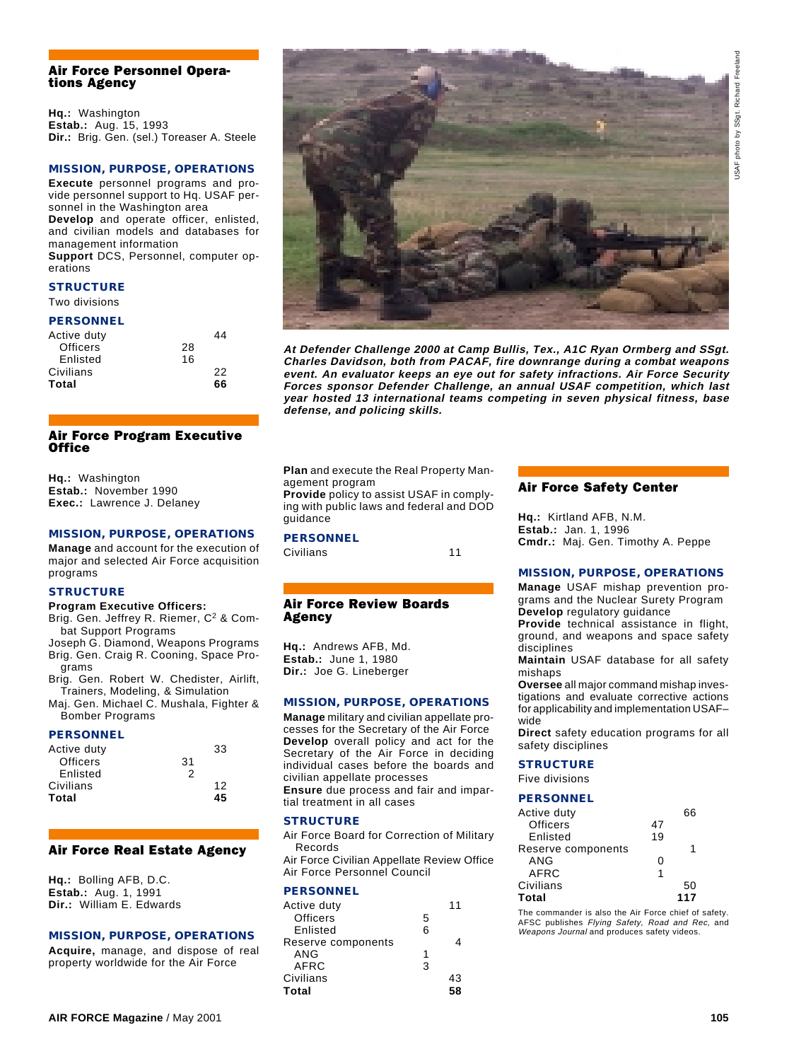# Richard Freeland USAF photo by SSgt. Richard Freelandphoto by SSgt. **USAF**

#### Air Force Personnel Operations Agency

**Hq.:** Washington **Estab.:** Aug. 15, 1993 **Dir.:** Brig. Gen. (sel.) Toreaser A. Steele

# **MISSION, PURPOSE, OPERATIONS**

**Execute** personnel programs and provide personnel support to Hq. USAF personnel in the Washington area **Develop** and operate officer, enlisted, and civilian models and databases for management information **Support** DCS, Personnel, computer op-

erations

# **STRUCTURE**

Two divisions

# **PERSONNEL**

| Active duty |    | 44 |
|-------------|----|----|
| Officers    | 28 |    |
| Enlisted    | 16 |    |
| Civilians   |    | 22 |
| Total       |    | 66 |
|             |    |    |

# Air Force Program Executive **Office**

**Hq.:** Washington **Estab.:** November 1990 **Exec.:** Lawrence J. Delaney

#### **MISSION, PURPOSE, OPERATIONS**

**Manage** and account for the execution of major and selected Air Force acquisition programs

#### **STRUCTURE**

#### **Program Executive Officers:**

- Brig. Gen. Jeffrey R. Riemer, C<sup>2</sup> & Combat Support Programs
- Joseph G. Diamond, Weapons Programs Brig. Gen. Craig R. Cooning, Space Programs
- Brig. Gen. Robert W. Chedister, Airlift, Trainers, Modeling, & Simulation
- Maj. Gen. Michael C. Mushala, Fighter & Bomber Programs

#### **PERSONNEL**

| Active duty |    | 33 |  |
|-------------|----|----|--|
| Officers    | 31 |    |  |
| Enlisted    | 2  |    |  |
| Civilians   |    | 12 |  |
| Total       |    | 45 |  |
|             |    |    |  |

### Air Force Real Estate Agency

**Hq.:** Bolling AFB, D.C. **Estab.:** Aug. 1, 1991 **Dir.:** William E. Edwards

#### **MISSION, PURPOSE, OPERATIONS**

**Acquire,** manage, and dispose of real property worldwide for the Air Force



**At Defender Challenge 2000 at Camp Bullis, Tex., A1C Ryan Ormberg and SSgt. Charles Davidson, both from PACAF, fire downrange during a combat weapons event. An evaluator keeps an eye out for safety infractions. Air Force Security Forces sponsor Defender Challenge, an annual USAF competition, which last year hosted 13 international teams competing in seven physical fitness, base defense, and policing skills.**

**Plan** and execute the Real Property Management program

**Provide** policy to assist USAF in complying with public laws and federal and DOD guidance

# **PERSONNEL**

Civilians 11

#### Air Force Review Boards Agency

**Hq.:** Andrews AFB, Md. **Estab.:** June 1, 1980 **Dir.:** Joe G. Lineberger

# **MISSION, PURPOSE, OPERATIONS**

**Manage** military and civilian appellate processes for the Secretary of the Air Force **Develop** overall policy and act for the Secretary of the Air Force in deciding individual cases before the boards and civilian appellate processes **Ensure** due process and fair and impartial treatment in all cases

#### **STRUCTURE**

Air Force Board for Correction of Military Records

Air Force Civilian Appellate Review Office Air Force Personnel Council

#### **PERSONNEL**

| Active duty        |   | 11 |
|--------------------|---|----|
| <b>Officers</b>    | 5 |    |
| Enlisted           | 6 |    |
| Reserve components |   |    |
| ANG                | 1 |    |
| AFRC               | 3 |    |
| Civilians          |   | 43 |
| Total              |   | 58 |
|                    |   |    |

#### Air Force Safety Center

**Hq.:** Kirtland AFB, N.M. **Estab.:** Jan. 1, 1996 **Cmdr.:** Maj. Gen. Timothy A. Peppe

#### **MISSION, PURPOSE, OPERATIONS**

**Manage** USAF mishap prevention programs and the Nuclear Surety Program **Develop** regulatory guidance

**Provide** technical assistance in flight, ground, and weapons and space safety disciplines

**Maintain** USAF database for all safety mishaps

**Oversee** all major command mishap investigations and evaluate corrective actions for applicability and implementation USAF– wide

**Direct** safety education programs for all safety disciplines

#### **STRUCTURE**

Five divisions

#### **PERSONNEL**

| Active duty        |    | 66  |
|--------------------|----|-----|
| Officers           | 47 |     |
| Enlisted           | 19 |     |
| Reserve components |    | 1   |
| ANG                | ი  |     |
| AFRC               | 1  |     |
| Civilians          |    | 50  |
| Total              |    | 117 |

The commander is also the Air Force chief of safety. AFSC publishes Flying Safety, Road and Rec, and Weapons Journal and produces safety videos.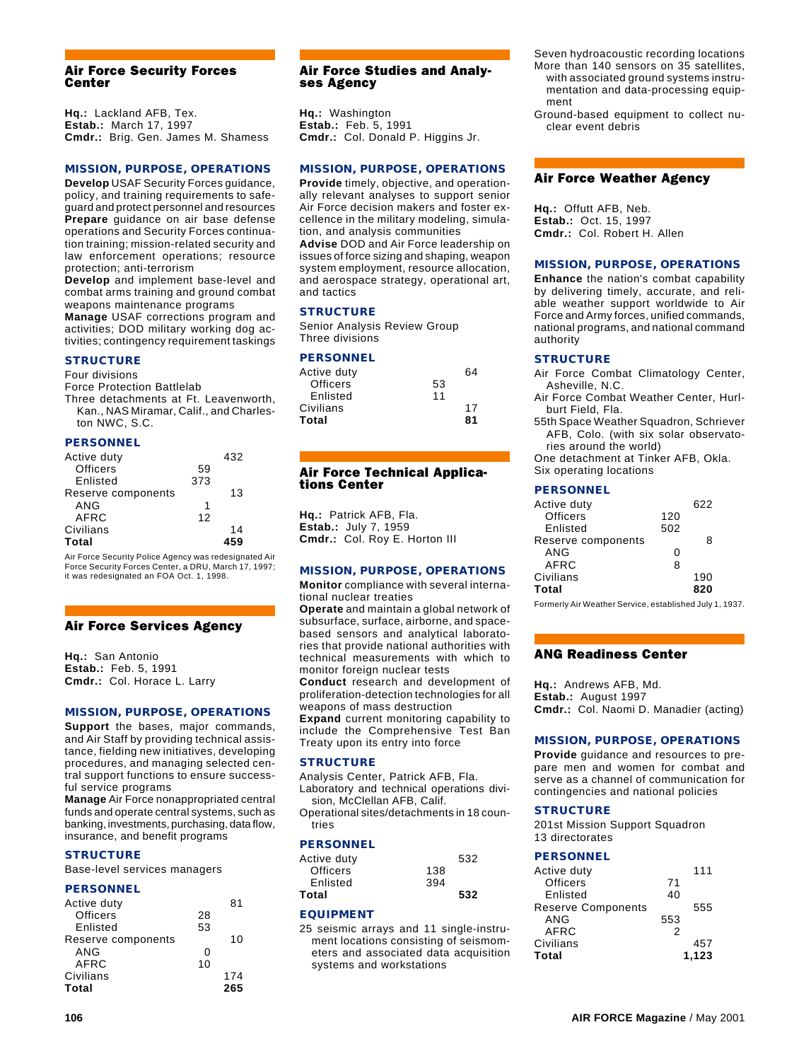#### Air Force Security Forces Center

**Hq.:** Lackland AFB, Tex. **Estab.:** March 17, 1997 **Cmdr.:** Brig. Gen. James M. Shamess

#### **MISSION, PURPOSE, OPERATIONS**

**Develop** USAF Security Forces guidance, policy, and training requirements to safeguard and protect personnel and resources **Prepare** guidance on air base defense operations and Security Forces continuation training; mission-related security and law enforcement operations; resource protection; anti-terrorism

**Develop** and implement base-level and combat arms training and ground combat weapons maintenance programs

**Manage** USAF corrections program and activities; DOD military working dog activities; contingency requirement taskings

# **STRUCTURE**

Four divisions Force Protection Battlelab

Three detachments at Ft. Leavenworth, Kan., NAS Miramar, Calif., and Charleston NWC, S.C.

#### **PERSONNEL**

| Active duty        |     | 432 |  |
|--------------------|-----|-----|--|
| <b>Officers</b>    | 59  |     |  |
| Enlisted           | 373 |     |  |
| Reserve components |     | 13  |  |
| ANG                | 1   |     |  |
| AFRC               | 12  |     |  |
| Civilians          |     | 14  |  |
| Total              |     |     |  |

Air Force Security Police Agency was redesignated Air Force Security Forces Center, a DRU, March 17, 1997; it was redesignated an FOA Oct. 1, 1998.

# Air Force Services Agency

**Hq.:** San Antonio **Estab.:** Feb. 5, 1991 **Cmdr.:** Col. Horace L. Larry

#### **MISSION, PURPOSE, OPERATIONS**

**Support** the bases, major commands, and Air Staff by providing technical assistance, fielding new initiatives, developing procedures, and managing selected central support functions to ensure successful service programs

**Manage** Air Force nonappropriated central funds and operate central systems, such as banking, investments, purchasing, data flow, insurance, and benefit programs

#### **TRUCTURE**

Base-level services managers

#### **PERSONNEL**

| Active duty        |    | 81  |
|--------------------|----|-----|
| Officers           | 28 |     |
| Enlisted           | 53 |     |
| Reserve components |    | 10  |
| ANG                | ი  |     |
| AFRC               | 10 |     |
| Civilians          |    | 174 |
| Total              |    | 265 |

#### Air Force Studies and Analyses Agency

**Hq.:** Washington **Estab.:** Feb. 5, 1991 **Cmdr.:** Col. Donald P. Higgins Jr.

#### **MISSION, PURPOSE, OPERATIONS**

**Provide** timely, objective, and operationally relevant analyses to support senior Air Force decision makers and foster excellence in the military modeling, simulation, and analysis communities **Advise** DOD and Air Force leadership on issues of force sizing and shaping, weapon system employment, resource allocation, and aerospace strategy, operational art, and tactics

#### **STRUCTURE**

Senior Analysis Review Group Three divisions

#### **PERSONNEL**

| Active duty |    | 64 |
|-------------|----|----|
| Officers    | 53 |    |
| Enlisted    | 11 |    |
| Civilians   |    | 17 |
| Total       |    | 81 |

# Air Force Technical Applications Center

**Hq.:** Patrick AFB, Fla. **Estab.:** July 7, 1959 **Cmdr.:** Col. Roy E. Horton III

# **MISSION, PURPOSE, OPERATIONS**

**Monitor** compliance with several international nuclear treaties

**Operate** and maintain a global network of subsurface, surface, airborne, and spacebased sensors and analytical laboratories that provide national authorities with technical measurements with which to monitor foreign nuclear tests

**Conduct** research and development of proliferation-detection technologies for all weapons of mass destruction

**Expand** current monitoring capability to include the Comprehensive Test Ban Treaty upon its entry into force

#### **STRUCTURE**

Analysis Center, Patrick AFB, Fla. Laboratory and technical operations division, McClellan AFB, Calif.

Operational sites/detachments in 18 countries

#### **PERSONNEL**

| Active duty |     | 532 |  |
|-------------|-----|-----|--|
| Officers    | 138 |     |  |
| Enlisted    | 394 |     |  |
| Total       |     | 532 |  |

# **EQUIPMENT**

25 seismic arrays and 11 single-instrument locations consisting of seismometers and associated data acquisition systems and workstations

- Seven hydroacoustic recording locations More than 140 sensors on 35 satellites, with associated ground systems instrumentation and data-processing equipment
- Ground-based equipment to collect nuclear event debris

#### Air Force Weather Agency

**Hq.:** Offutt AFB, Neb. **Estab.:** Oct. 15, 1997 **Cmdr.:** Col. Robert H. Allen

#### **MISSION, PURPOSE, OPERATIONS**

**Enhance** the nation's combat capability by delivering timely, accurate, and reliable weather support worldwide to Air Force and Army forces, unified commands, national programs, and national command authority

#### **STRUCTURE**

- Air Force Combat Climatology Center, Asheville, N.C.
- Air Force Combat Weather Center, Hurlburt Field, Fla.
- 55th Space Weather Squadron, Schriever AFB, Colo. (with six solar observatories around the world)

One detachment at Tinker AFB, Okla. Six operating locations

#### **PERSONNEL**

| Active duty        |     | 622 |
|--------------------|-----|-----|
| Officers           | 120 |     |
| Enlisted           | 502 |     |
| Reserve components |     | 8   |
| ANG                | O   |     |
| AFRC               | 8   |     |
| Civilians          |     | 190 |
| Total              |     | 820 |

Formerly Air Weather Service, established July 1, 1937.

#### ANG Readiness Center

**Hq.:** Andrews AFB, Md. **Estab.:** August 1997 **Cmdr.:** Col. Naomi D. Manadier (acting)

#### **MISSION, PURPOSE, OPERATIONS**

**Provide** guidance and resources to prepare men and women for combat and serve as a channel of communication for contingencies and national policies

# **STRUCTURE**

201st Mission Support Squadron 13 directorates

#### **PERSONNEL**

| Active duty               |     | 111   |
|---------------------------|-----|-------|
| <b>Officers</b>           | 71  |       |
| Enlisted                  | 40  |       |
| <b>Reserve Components</b> |     | 555   |
| ANG                       | 553 |       |
| AFRC                      | 2   |       |
| Civilians                 |     | 457   |
| <b>Total</b>              |     | 1.123 |